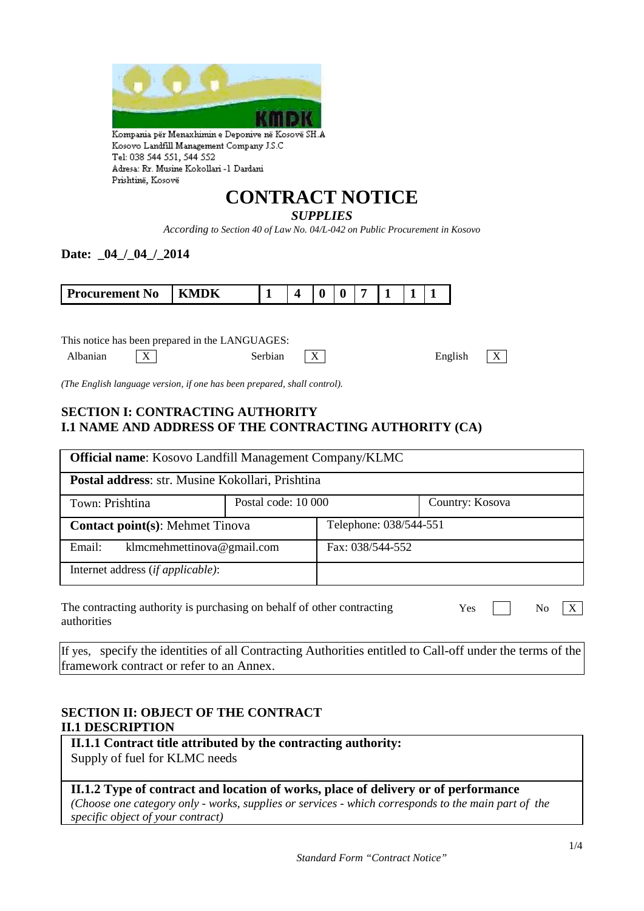

Tel: 038 544 551, 544 552 Adresa: Rr. Musine Kokollari -1 Dardani Prishtinë, Kosovë

# **CONTRACT NOTICE**

#### *SUPPLIES*

*According to Section 40 of Law No. 04/L-042 on Public Procurement in Kosovo*

#### Date: 04 / 04 / 2014

| rocurement<br>N <sub>0</sub> | л |  |  |  |  |
|------------------------------|---|--|--|--|--|

This notice has been prepared in the LANGUAGES:



*(The English language version, if one has been prepared, shall control).*

#### **SECTION I: CONTRACTING AUTHORITY I.1 NAME AND ADDRESS OF THE CONTRACTING AUTHORITY (CA)**

| <b>Official name:</b> Kosovo Landfill Management Company/KLMC                                      |                     |                        |                 |  |  |
|----------------------------------------------------------------------------------------------------|---------------------|------------------------|-----------------|--|--|
| Postal address: str. Musine Kokollari, Prishtina                                                   |                     |                        |                 |  |  |
| Town: Prishtina                                                                                    | Postal code: 10 000 |                        | Country: Kosova |  |  |
| <b>Contact point(s): Mehmet Tinova</b>                                                             |                     | Telephone: 038/544-551 |                 |  |  |
| klmcmehmettinova@gmail.com<br>Email:                                                               |                     | Fax: 038/544-552       |                 |  |  |
| Internet address (if applicable):                                                                  |                     |                        |                 |  |  |
| The contracting authority is purchasing on behalf of other contracting<br>Yes<br>No<br>authorities |                     |                        |                 |  |  |

If yes, specify the identities of all Contracting Authorities entitled to Call-off under the terms of the framework contract or refer to an Annex.

#### **SECTION II: OBJECT OF THE CONTRACT II.1 DESCRIPTION**

**II.1.1 Contract title attributed by the contracting authority:** Supply of fuel for KLMC needs

#### **II.1.2 Type of contract and location of works, place of delivery or of performance**

*(Choose one category only - works, supplies or services - which corresponds to the main part of the specific object of your contract)*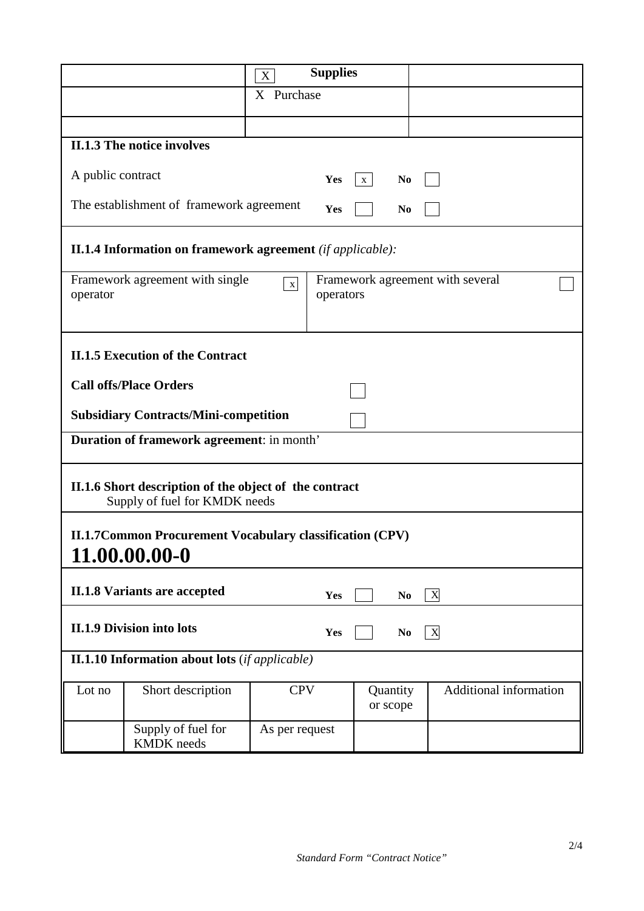|                   |                                                                                         | X              | <b>Supplies</b> |                                  |                           |                               |
|-------------------|-----------------------------------------------------------------------------------------|----------------|-----------------|----------------------------------|---------------------------|-------------------------------|
| X Purchase        |                                                                                         |                |                 |                                  |                           |                               |
|                   |                                                                                         |                |                 |                                  |                           |                               |
|                   | <b>II.1.3 The notice involves</b>                                                       |                |                 |                                  |                           |                               |
| A public contract |                                                                                         |                | Yes             | N <sub>0</sub><br>$\mathbf{X}$   |                           |                               |
|                   | The establishment of framework agreement                                                |                | Yes             | N <sub>0</sub>                   |                           |                               |
|                   | <b>II.1.4 Information on framework agreement</b> ( <i>if applicable</i> ):              |                |                 |                                  |                           |                               |
| operator          | Framework agreement with single                                                         | $\mathbf X$    | operators       | Framework agreement with several |                           |                               |
|                   | <b>II.1.5 Execution of the Contract</b>                                                 |                |                 |                                  |                           |                               |
|                   | <b>Call offs/Place Orders</b>                                                           |                |                 |                                  |                           |                               |
|                   | <b>Subsidiary Contracts/Mini-competition</b>                                            |                |                 |                                  |                           |                               |
|                   | Duration of framework agreement: in month'                                              |                |                 |                                  |                           |                               |
|                   | II.1.6 Short description of the object of the contract<br>Supply of fuel for KMDK needs |                |                 |                                  |                           |                               |
|                   | <b>II.1.7Common Procurement Vocabulary classification (CPV)</b><br>11.00.00.00-0        |                |                 |                                  |                           |                               |
|                   | <b>II.1.8 Variants are accepted</b>                                                     |                | Yes             | N <sub>0</sub>                   | $\boldsymbol{\mathrm{X}}$ |                               |
|                   | <b>II.1.9 Division into lots</b>                                                        |                | Yes             | N <sub>0</sub>                   | $\mathbf{X}$              |                               |
|                   | <b>II.1.10 Information about lots</b> ( <i>if applicable</i> )                          |                |                 |                                  |                           |                               |
| Lot no            | Short description                                                                       | <b>CPV</b>     |                 | Quantity<br>or scope             |                           | <b>Additional information</b> |
|                   | Supply of fuel for<br><b>KMDK</b> needs                                                 | As per request |                 |                                  |                           |                               |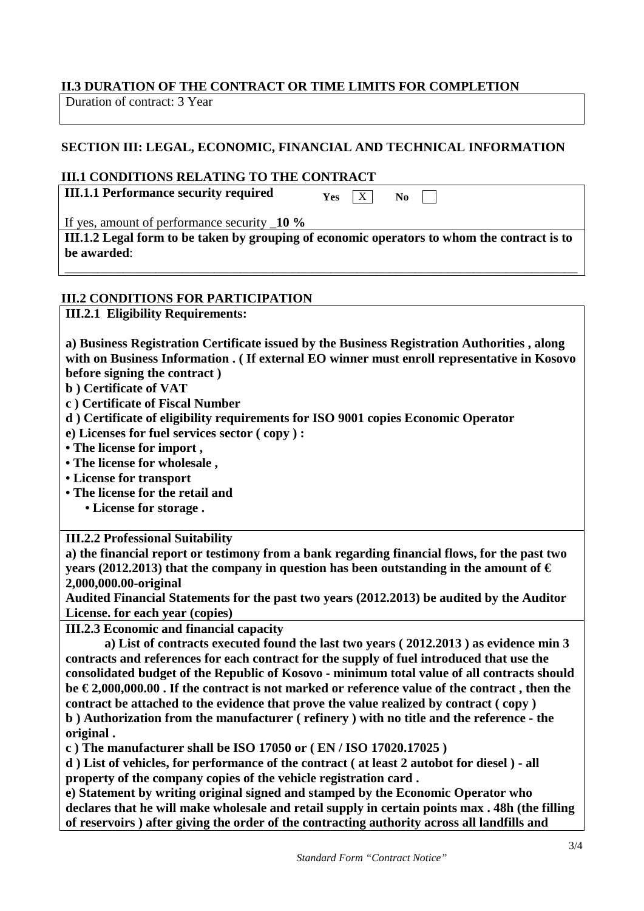#### **II.3 DURATION OF THE CONTRACT OR TIME LIMITS FOR COMPLETION**

Duration of contract: 3 Year

#### **SECTION III: LEGAL, ECONOMIC, FINANCIAL AND TECHNICAL INFORMATION**

#### **III.1 CONDITIONS RELATING TO THE CONTRACT**

**III.1.1 Performance security required** 

 $Yes \quad X \quad No$ 

If yes, amount of performance security \_**10 %**

**III.1.2 Legal form to be taken by grouping of economic operators to whom the contract is to be awarded**:

\_\_\_\_\_\_\_\_\_\_\_\_\_\_\_\_\_\_\_\_\_\_\_\_\_\_\_\_\_\_\_\_\_\_\_\_\_\_\_\_\_\_\_\_\_\_\_\_\_\_\_\_\_\_\_\_\_\_\_\_\_\_\_\_\_\_\_\_\_\_\_\_\_\_\_\_\_\_\_

#### **III.2 CONDITIONS FOR PARTICIPATION**

**III.2.1 Eligibility Requirements:** 

**a) Business Registration Certificate issued by the Business Registration Authorities , along with on Business Information . ( If external EO winner must enroll representative in Kosovo before signing the contract )**

**b ) Certificate of VAT**

**c ) Certificate of Fiscal Number**

**d ) Certificate of eligibility requirements for ISO 9001 copies Economic Operator**

**e) Licenses for fuel services sector ( copy ) :**

**• The license for import ,**

**• The license for wholesale ,**

**• License for transport**

**• The license for the retail and**

 **• License for storage .**

**III.2.2 Professional Suitability**

**a) the financial report or testimony from a bank regarding financial flows, for the past two years (2012.2013) that the company in question has been outstanding in the amount of**  $\epsilon$ **2,000,000.00-original** 

**Audited Financial Statements for the past two years (2012.2013) be audited by the Auditor License. for each year (copies)**

**III.2.3 Economic and financial capacity**

 **a) List of contracts executed found the last two years ( 2012.2013 ) as evidence min 3 contracts and references for each contract for the supply of fuel introduced that use the consolidated budget of the Republic of Kosovo - minimum total value of all contracts should be € 2,000,000.00 . If the contract is not marked or reference value of the contract , then the contract be attached to the evidence that prove the value realized by contract ( copy ) b ) Authorization from the manufacturer ( refinery ) with no title and the reference - the original .**

**c ) The manufacturer shall be ISO 17050 or ( EN / ISO 17020.17025 )**

**d ) List of vehicles, for performance of the contract ( at least 2 autobot for diesel ) - all property of the company copies of the vehicle registration card .**

**e) Statement by writing original signed and stamped by the Economic Operator who declares that he will make wholesale and retail supply in certain points max . 48h (the filling of reservoirs ) after giving the order of the contracting authority across all landfills and**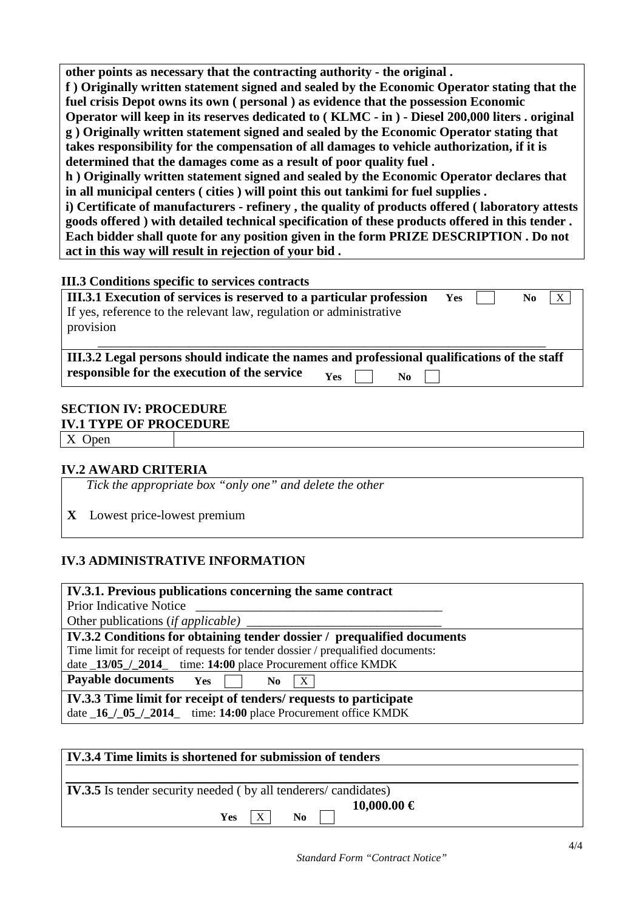**other points as necessary that the contracting authority - the original .**

**f ) Originally written statement signed and sealed by the Economic Operator stating that the fuel crisis Depot owns its own ( personal ) as evidence that the possession Economic Operator will keep in its reserves dedicated to ( KLMC - in ) - Diesel 200,000 liters . original g ) Originally written statement signed and sealed by the Economic Operator stating that takes responsibility for the compensation of all damages to vehicle authorization, if it is determined that the damages come as a result of poor quality fuel .**

**h ) Originally written statement signed and sealed by the Economic Operator declares that in all municipal centers ( cities ) will point this out tankimi for fuel supplies .**

**i) Certificate of manufacturers - refinery , the quality of products offered ( laboratory attests goods offered ) with detailed technical specification of these products offered in this tender . Each bidder shall quote for any position given in the form PRIZE DESCRIPTION . Do not act in this way will result in rejection of your bid .**

#### **III.3 Conditions specific to services contracts**

| III.3.1 Execution of services is reserved to a particular profession | Yes | X<br>No. |
|----------------------------------------------------------------------|-----|----------|
| If yes, reference to the relevant law, regulation or administrative  |     |          |
| provision                                                            |     |          |
|                                                                      |     |          |

**III.3.2 Legal persons should indicate the names and professional qualifications of the staff responsible for the execution of the service**  $Y_{\text{es}}$   $Y_{\text{es}}$ 

## **SECTION IV: PROCEDURE**

#### **IV.1 TYPE OF PROCEDURE**

X Open

### **IV.2 AWARD CRITERIA**

*Tick the appropriate box "only one" and delete the other*

**X** Lowest price-lowest premium

# **IV.3 ADMINISTRATIVE INFORMATION**

#### **IV.3.1. Previous publications concerning the same contract**

Prior Indicative Notice Other publications (*if applicable*)

**IV.3.2 Conditions for obtaining tender dossier / prequalified documents**

Time limit for receipt of requests for tender dossier / prequalified documents:

date \_**13/05\_/\_2014**\_ time: **14:00** place Procurement office KMDK

**Payable documents Yes**  $\Box$  **No**  $\overline{X}$ 

**IV.3.3 Time limit for receipt of tenders/ requests to participate** date \_**16\_/\_05\_/\_2014**\_ time: **14:00** place Procurement office KMDK

| IV.3.4 Time limits is shortened for submission of tenders             |  |  |  |  |
|-----------------------------------------------------------------------|--|--|--|--|
| <b>IV.3.5</b> Is tender security needed (by all tenderers/candidates) |  |  |  |  |
| $10,000.00 \in$<br>$\mathbf{X}$<br>N <sub>0</sub><br><b>Yes</b>       |  |  |  |  |